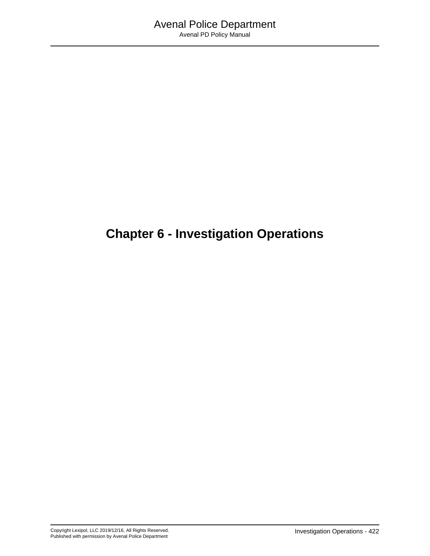# **Chapter 6 - Investigation Operations**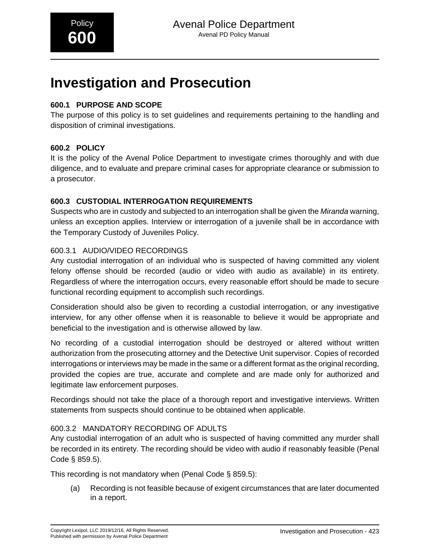# **Investigation and Prosecution**

## **600.1 PURPOSE AND SCOPE**

The purpose of this policy is to set guidelines and requirements pertaining to the handling and disposition of criminal investigations.

## **600.2 POLICY**

It is the policy of the Avenal Police Department to investigate crimes thoroughly and with due diligence, and to evaluate and prepare criminal cases for appropriate clearance or submission to a prosecutor.

## **600.3 CUSTODIAL INTERROGATION REQUIREMENTS**

Suspects who are in custody and subjected to an interrogation shall be given the *Miranda* warning, unless an exception applies. Interview or interrogation of a juvenile shall be in accordance with the Temporary Custody of Juveniles Policy.

## 600.3.1 AUDIO/VIDEO RECORDINGS

Any custodial interrogation of an individual who is suspected of having committed any violent felony offense should be recorded (audio or video with audio as available) in its entirety. Regardless of where the interrogation occurs, every reasonable effort should be made to secure functional recording equipment to accomplish such recordings.

Consideration should also be given to recording a custodial interrogation, or any investigative interview, for any other offense when it is reasonable to believe it would be appropriate and beneficial to the investigation and is otherwise allowed by law.

No recording of a custodial interrogation should be destroyed or altered without written authorization from the prosecuting attorney and the Detective Unit supervisor. Copies of recorded interrogations or interviews may be made in the same or a different format as the original recording, provided the copies are true, accurate and complete and are made only for authorized and legitimate law enforcement purposes.

Recordings should not take the place of a thorough report and investigative interviews. Written statements from suspects should continue to be obtained when applicable.

## 600.3.2 MANDATORY RECORDING OF ADULTS

Any custodial interrogation of an adult who is suspected of having committed any murder shall be recorded in its entirety. The recording should be video with audio if reasonably feasible (Penal Code § 859.5).

This recording is not mandatory when (Penal Code § 859.5):

(a) Recording is not feasible because of exigent circumstances that are later documented in a report.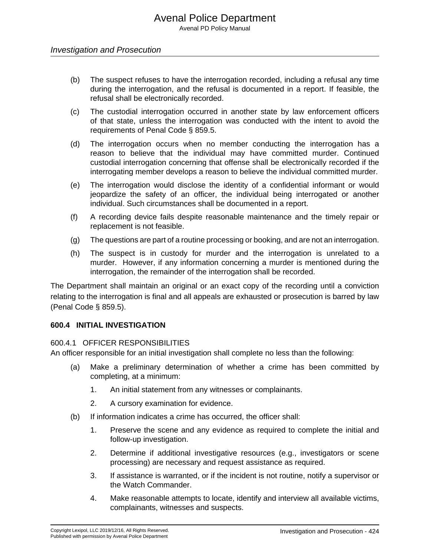- (b) The suspect refuses to have the interrogation recorded, including a refusal any time during the interrogation, and the refusal is documented in a report. If feasible, the refusal shall be electronically recorded.
- (c) The custodial interrogation occurred in another state by law enforcement officers of that state, unless the interrogation was conducted with the intent to avoid the requirements of Penal Code § 859.5.
- (d) The interrogation occurs when no member conducting the interrogation has a reason to believe that the individual may have committed murder. Continued custodial interrogation concerning that offense shall be electronically recorded if the interrogating member develops a reason to believe the individual committed murder.
- (e) The interrogation would disclose the identity of a confidential informant or would jeopardize the safety of an officer, the individual being interrogated or another individual. Such circumstances shall be documented in a report.
- (f) A recording device fails despite reasonable maintenance and the timely repair or replacement is not feasible.
- (g) The questions are part of a routine processing or booking, and are not an interrogation.
- (h) The suspect is in custody for murder and the interrogation is unrelated to a murder. However, if any information concerning a murder is mentioned during the interrogation, the remainder of the interrogation shall be recorded.

The Department shall maintain an original or an exact copy of the recording until a conviction relating to the interrogation is final and all appeals are exhausted or prosecution is barred by law (Penal Code § 859.5).

#### **600.4 INITIAL INVESTIGATION**

#### 600.4.1 OFFICER RESPONSIBILITIES

An officer responsible for an initial investigation shall complete no less than the following:

- (a) Make a preliminary determination of whether a crime has been committed by completing, at a minimum:
	- 1. An initial statement from any witnesses or complainants.
	- 2. A cursory examination for evidence.
- (b) If information indicates a crime has occurred, the officer shall:
	- 1. Preserve the scene and any evidence as required to complete the initial and follow-up investigation.
	- 2. Determine if additional investigative resources (e.g., investigators or scene processing) are necessary and request assistance as required.
	- 3. If assistance is warranted, or if the incident is not routine, notify a supervisor or the Watch Commander.
	- 4. Make reasonable attempts to locate, identify and interview all available victims, complainants, witnesses and suspects.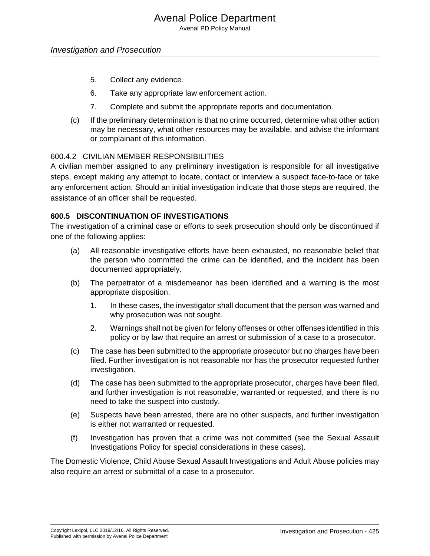- 5. Collect any evidence.
- 6. Take any appropriate law enforcement action.
- 7. Complete and submit the appropriate reports and documentation.
- (c) If the preliminary determination is that no crime occurred, determine what other action may be necessary, what other resources may be available, and advise the informant or complainant of this information.

#### 600.4.2 CIVILIAN MEMBER RESPONSIBILITIES

A civilian member assigned to any preliminary investigation is responsible for all investigative steps, except making any attempt to locate, contact or interview a suspect face-to-face or take any enforcement action. Should an initial investigation indicate that those steps are required, the assistance of an officer shall be requested.

#### **600.5 DISCONTINUATION OF INVESTIGATIONS**

The investigation of a criminal case or efforts to seek prosecution should only be discontinued if one of the following applies:

- (a) All reasonable investigative efforts have been exhausted, no reasonable belief that the person who committed the crime can be identified, and the incident has been documented appropriately.
- (b) The perpetrator of a misdemeanor has been identified and a warning is the most appropriate disposition.
	- 1. In these cases, the investigator shall document that the person was warned and why prosecution was not sought.
	- 2. Warnings shall not be given for felony offenses or other offenses identified in this policy or by law that require an arrest or submission of a case to a prosecutor.
- (c) The case has been submitted to the appropriate prosecutor but no charges have been filed. Further investigation is not reasonable nor has the prosecutor requested further investigation.
- (d) The case has been submitted to the appropriate prosecutor, charges have been filed, and further investigation is not reasonable, warranted or requested, and there is no need to take the suspect into custody.
- (e) Suspects have been arrested, there are no other suspects, and further investigation is either not warranted or requested.
- (f) Investigation has proven that a crime was not committed (see the Sexual Assault Investigations Policy for special considerations in these cases).

The Domestic Violence, Child Abuse Sexual Assault Investigations and Adult Abuse policies may also require an arrest or submittal of a case to a prosecutor.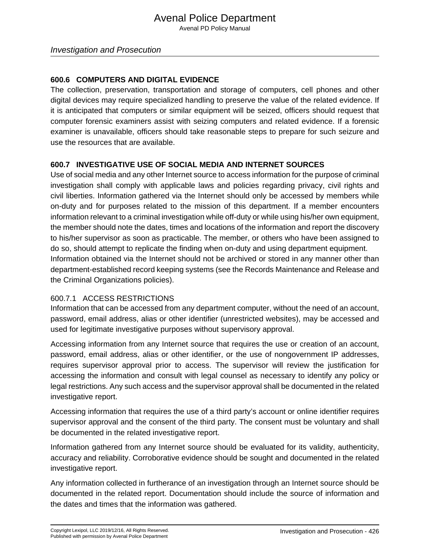#### **600.6 COMPUTERS AND DIGITAL EVIDENCE**

The collection, preservation, transportation and storage of computers, cell phones and other digital devices may require specialized handling to preserve the value of the related evidence. If it is anticipated that computers or similar equipment will be seized, officers should request that computer forensic examiners assist with seizing computers and related evidence. If a forensic examiner is unavailable, officers should take reasonable steps to prepare for such seizure and use the resources that are available.

#### **600.7 INVESTIGATIVE USE OF SOCIAL MEDIA AND INTERNET SOURCES**

Use of social media and any other Internet source to access information for the purpose of criminal investigation shall comply with applicable laws and policies regarding privacy, civil rights and civil liberties. Information gathered via the Internet should only be accessed by members while on-duty and for purposes related to the mission of this department. If a member encounters information relevant to a criminal investigation while off-duty or while using his/her own equipment, the member should note the dates, times and locations of the information and report the discovery to his/her supervisor as soon as practicable. The member, or others who have been assigned to do so, should attempt to replicate the finding when on-duty and using department equipment. Information obtained via the Internet should not be archived or stored in any manner other than department-established record keeping systems (see the Records Maintenance and Release and the Criminal Organizations policies).

#### 600.7.1 ACCESS RESTRICTIONS

Information that can be accessed from any department computer, without the need of an account, password, email address, alias or other identifier (unrestricted websites), may be accessed and used for legitimate investigative purposes without supervisory approval.

Accessing information from any Internet source that requires the use or creation of an account, password, email address, alias or other identifier, or the use of nongovernment IP addresses, requires supervisor approval prior to access. The supervisor will review the justification for accessing the information and consult with legal counsel as necessary to identify any policy or legal restrictions. Any such access and the supervisor approval shall be documented in the related investigative report.

Accessing information that requires the use of a third party's account or online identifier requires supervisor approval and the consent of the third party. The consent must be voluntary and shall be documented in the related investigative report.

Information gathered from any Internet source should be evaluated for its validity, authenticity, accuracy and reliability. Corroborative evidence should be sought and documented in the related investigative report.

Any information collected in furtherance of an investigation through an Internet source should be documented in the related report. Documentation should include the source of information and the dates and times that the information was gathered.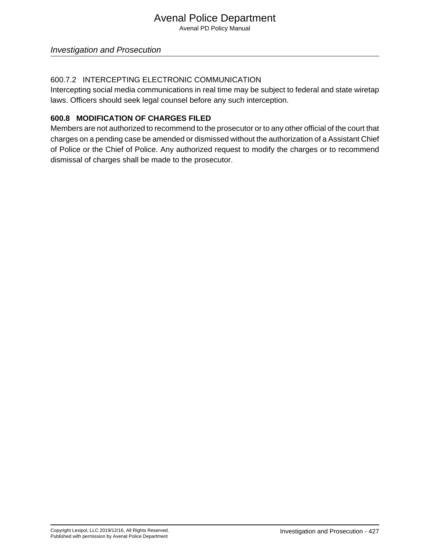Avenal PD Policy Manual

#### 600.7.2 INTERCEPTING ELECTRONIC COMMUNICATION

Intercepting social media communications in real time may be subject to federal and state wiretap laws. Officers should seek legal counsel before any such interception.

#### **600.8 MODIFICATION OF CHARGES FILED**

Members are not authorized to recommend to the prosecutor or to any other official of the court that charges on a pending case be amended or dismissed without the authorization of a Assistant Chief of Police or the Chief of Police. Any authorized request to modify the charges or to recommend dismissal of charges shall be made to the prosecutor.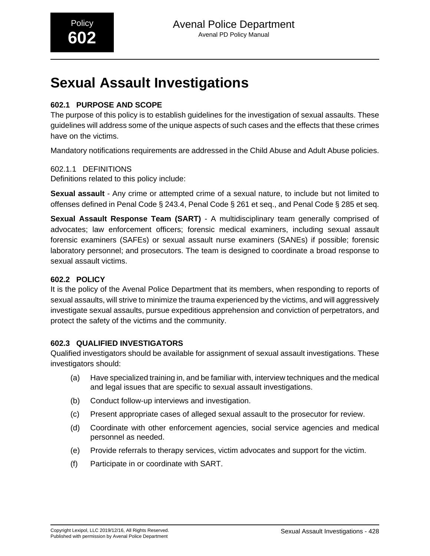# **Sexual Assault Investigations**

## **602.1 PURPOSE AND SCOPE**

The purpose of this policy is to establish guidelines for the investigation of sexual assaults. These guidelines will address some of the unique aspects of such cases and the effects that these crimes have on the victims.

Mandatory notifications requirements are addressed in the Child Abuse and Adult Abuse policies.

#### 602.1.1 DEFINITIONS

Definitions related to this policy include:

**Sexual assault** - Any crime or attempted crime of a sexual nature, to include but not limited to offenses defined in Penal Code § 243.4, Penal Code § 261 et seq., and Penal Code § 285 et seq.

**Sexual Assault Response Team (SART)** - A multidisciplinary team generally comprised of advocates; law enforcement officers; forensic medical examiners, including sexual assault forensic examiners (SAFEs) or sexual assault nurse examiners (SANEs) if possible; forensic laboratory personnel; and prosecutors. The team is designed to coordinate a broad response to sexual assault victims.

## **602.2 POLICY**

It is the policy of the Avenal Police Department that its members, when responding to reports of sexual assaults, will strive to minimize the trauma experienced by the victims, and will aggressively investigate sexual assaults, pursue expeditious apprehension and conviction of perpetrators, and protect the safety of the victims and the community.

## **602.3 QUALIFIED INVESTIGATORS**

Qualified investigators should be available for assignment of sexual assault investigations. These investigators should:

- (a) Have specialized training in, and be familiar with, interview techniques and the medical and legal issues that are specific to sexual assault investigations.
- (b) Conduct follow-up interviews and investigation.
- (c) Present appropriate cases of alleged sexual assault to the prosecutor for review.
- (d) Coordinate with other enforcement agencies, social service agencies and medical personnel as needed.
- (e) Provide referrals to therapy services, victim advocates and support for the victim.
- (f) Participate in or coordinate with SART.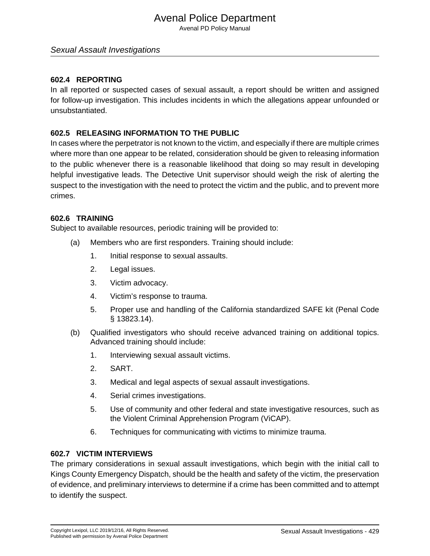Avenal PD Policy Manual

#### Sexual Assault Investigations

#### **602.4 REPORTING**

In all reported or suspected cases of sexual assault, a report should be written and assigned for follow-up investigation. This includes incidents in which the allegations appear unfounded or unsubstantiated.

#### **602.5 RELEASING INFORMATION TO THE PUBLIC**

In cases where the perpetrator is not known to the victim, and especially if there are multiple crimes where more than one appear to be related, consideration should be given to releasing information to the public whenever there is a reasonable likelihood that doing so may result in developing helpful investigative leads. The Detective Unit supervisor should weigh the risk of alerting the suspect to the investigation with the need to protect the victim and the public, and to prevent more crimes.

#### **602.6 TRAINING**

Subject to available resources, periodic training will be provided to:

- (a) Members who are first responders. Training should include:
	- 1. Initial response to sexual assaults.
	- 2. Legal issues.
	- 3. Victim advocacy.
	- 4. Victim's response to trauma.
	- 5. Proper use and handling of the California standardized SAFE kit (Penal Code § 13823.14).
- (b) Qualified investigators who should receive advanced training on additional topics. Advanced training should include:
	- 1. Interviewing sexual assault victims.
	- 2. SART.
	- 3. Medical and legal aspects of sexual assault investigations.
	- 4. Serial crimes investigations.
	- 5. Use of community and other federal and state investigative resources, such as the Violent Criminal Apprehension Program (ViCAP).
	- 6. Techniques for communicating with victims to minimize trauma.

#### **602.7 VICTIM INTERVIEWS**

The primary considerations in sexual assault investigations, which begin with the initial call to Kings County Emergency Dispatch, should be the health and safety of the victim, the preservation of evidence, and preliminary interviews to determine if a crime has been committed and to attempt to identify the suspect.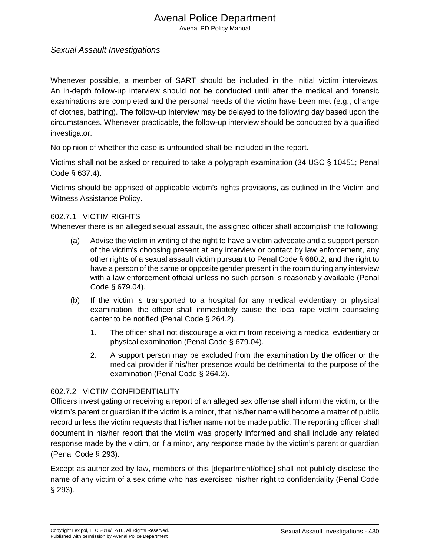Avenal PD Policy Manual

#### Sexual Assault Investigations

Whenever possible, a member of SART should be included in the initial victim interviews. An in-depth follow-up interview should not be conducted until after the medical and forensic examinations are completed and the personal needs of the victim have been met (e.g., change of clothes, bathing). The follow-up interview may be delayed to the following day based upon the circumstances. Whenever practicable, the follow-up interview should be conducted by a qualified investigator.

No opinion of whether the case is unfounded shall be included in the report.

Victims shall not be asked or required to take a polygraph examination (34 USC § 10451; Penal Code § 637.4).

Victims should be apprised of applicable victim's rights provisions, as outlined in the Victim and Witness Assistance Policy.

#### 602.7.1 VICTIM RIGHTS

Whenever there is an alleged sexual assault, the assigned officer shall accomplish the following:

- (a) Advise the victim in writing of the right to have a victim advocate and a support person of the victim's choosing present at any interview or contact by law enforcement, any other rights of a sexual assault victim pursuant to Penal Code § 680.2, and the right to have a person of the same or opposite gender present in the room during any interview with a law enforcement official unless no such person is reasonably available (Penal Code § 679.04).
- (b) If the victim is transported to a hospital for any medical evidentiary or physical examination, the officer shall immediately cause the local rape victim counseling center to be notified (Penal Code § 264.2).
	- 1. The officer shall not discourage a victim from receiving a medical evidentiary or physical examination (Penal Code § 679.04).
	- 2. A support person may be excluded from the examination by the officer or the medical provider if his/her presence would be detrimental to the purpose of the examination (Penal Code § 264.2).

#### 602.7.2 VICTIM CONFIDENTIALITY

Officers investigating or receiving a report of an alleged sex offense shall inform the victim, or the victim's parent or guardian if the victim is a minor, that his/her name will become a matter of public record unless the victim requests that his/her name not be made public. The reporting officer shall document in his/her report that the victim was properly informed and shall include any related response made by the victim, or if a minor, any response made by the victim's parent or guardian (Penal Code § 293).

Except as authorized by law, members of this [department/office] shall not publicly disclose the name of any victim of a sex crime who has exercised his/her right to confidentiality (Penal Code § 293).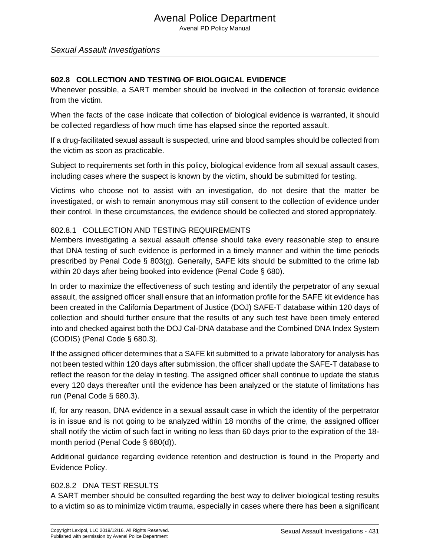#### Sexual Assault Investigations

### **602.8 COLLECTION AND TESTING OF BIOLOGICAL EVIDENCE**

Whenever possible, a SART member should be involved in the collection of forensic evidence from the victim.

When the facts of the case indicate that collection of biological evidence is warranted, it should be collected regardless of how much time has elapsed since the reported assault.

If a drug-facilitated sexual assault is suspected, urine and blood samples should be collected from the victim as soon as practicable.

Subject to requirements set forth in this policy, biological evidence from all sexual assault cases, including cases where the suspect is known by the victim, should be submitted for testing.

Victims who choose not to assist with an investigation, do not desire that the matter be investigated, or wish to remain anonymous may still consent to the collection of evidence under their control. In these circumstances, the evidence should be collected and stored appropriately.

#### 602.8.1 COLLECTION AND TESTING REQUIREMENTS

Members investigating a sexual assault offense should take every reasonable step to ensure that DNA testing of such evidence is performed in a timely manner and within the time periods prescribed by Penal Code § 803(g). Generally, SAFE kits should be submitted to the crime lab within 20 days after being booked into evidence (Penal Code § 680).

In order to maximize the effectiveness of such testing and identify the perpetrator of any sexual assault, the assigned officer shall ensure that an information profile for the SAFE kit evidence has been created in the California Department of Justice (DOJ) SAFE-T database within 120 days of collection and should further ensure that the results of any such test have been timely entered into and checked against both the DOJ Cal-DNA database and the Combined DNA Index System (CODIS) (Penal Code § 680.3).

If the assigned officer determines that a SAFE kit submitted to a private laboratory for analysis has not been tested within 120 days after submission, the officer shall update the SAFE-T database to reflect the reason for the delay in testing. The assigned officer shall continue to update the status every 120 days thereafter until the evidence has been analyzed or the statute of limitations has run (Penal Code § 680.3).

If, for any reason, DNA evidence in a sexual assault case in which the identity of the perpetrator is in issue and is not going to be analyzed within 18 months of the crime, the assigned officer shall notify the victim of such fact in writing no less than 60 days prior to the expiration of the 18 month period (Penal Code § 680(d)).

Additional guidance regarding evidence retention and destruction is found in the Property and Evidence Policy.

#### 602.8.2 DNA TEST RESULTS

A SART member should be consulted regarding the best way to deliver biological testing results to a victim so as to minimize victim trauma, especially in cases where there has been a significant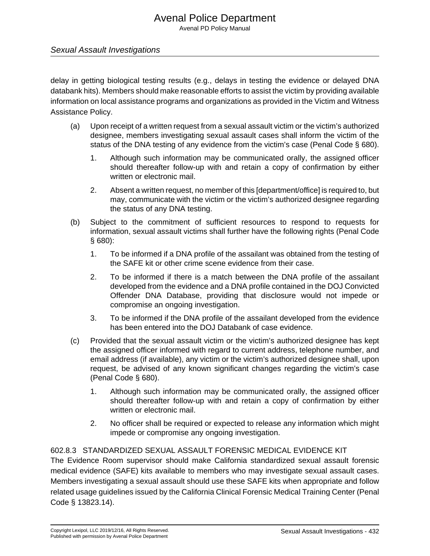#### Sexual Assault Investigations

delay in getting biological testing results (e.g., delays in testing the evidence or delayed DNA databank hits). Members should make reasonable efforts to assist the victim by providing available information on local assistance programs and organizations as provided in the Victim and Witness Assistance Policy.

- (a) Upon receipt of a written request from a sexual assault victim or the victim's authorized designee, members investigating sexual assault cases shall inform the victim of the status of the DNA testing of any evidence from the victim's case (Penal Code § 680).
	- 1. Although such information may be communicated orally, the assigned officer should thereafter follow-up with and retain a copy of confirmation by either written or electronic mail.
	- 2. Absent a written request, no member of this [department/office] is required to, but may, communicate with the victim or the victim's authorized designee regarding the status of any DNA testing.
- (b) Subject to the commitment of sufficient resources to respond to requests for information, sexual assault victims shall further have the following rights (Penal Code § 680):
	- 1. To be informed if a DNA profile of the assailant was obtained from the testing of the SAFE kit or other crime scene evidence from their case.
	- 2. To be informed if there is a match between the DNA profile of the assailant developed from the evidence and a DNA profile contained in the DOJ Convicted Offender DNA Database, providing that disclosure would not impede or compromise an ongoing investigation.
	- 3. To be informed if the DNA profile of the assailant developed from the evidence has been entered into the DOJ Databank of case evidence.
- (c) Provided that the sexual assault victim or the victim's authorized designee has kept the assigned officer informed with regard to current address, telephone number, and email address (if available), any victim or the victim's authorized designee shall, upon request, be advised of any known significant changes regarding the victim's case (Penal Code § 680).
	- 1. Although such information may be communicated orally, the assigned officer should thereafter follow-up with and retain a copy of confirmation by either written or electronic mail.
	- 2. No officer shall be required or expected to release any information which might impede or compromise any ongoing investigation.

#### 602.8.3 STANDARDIZED SEXUAL ASSAULT FORENSIC MEDICAL EVIDENCE KIT

The Evidence Room supervisor should make California standardized sexual assault forensic medical evidence (SAFE) kits available to members who may investigate sexual assault cases. Members investigating a sexual assault should use these SAFE kits when appropriate and follow related usage guidelines issued by the California Clinical Forensic Medical Training Center (Penal Code § 13823.14).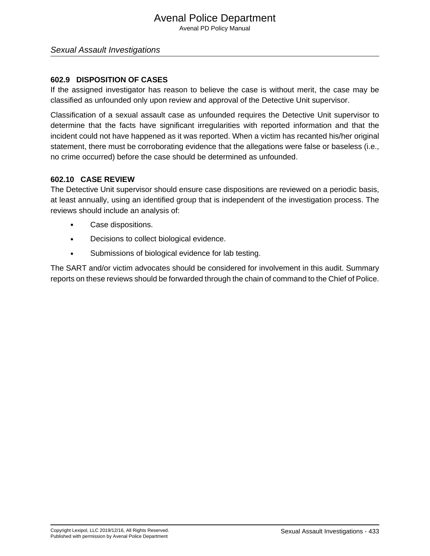Avenal PD Policy Manual

#### Sexual Assault Investigations

#### **602.9 DISPOSITION OF CASES**

If the assigned investigator has reason to believe the case is without merit, the case may be classified as unfounded only upon review and approval of the Detective Unit supervisor.

Classification of a sexual assault case as unfounded requires the Detective Unit supervisor to determine that the facts have significant irregularities with reported information and that the incident could not have happened as it was reported. When a victim has recanted his/her original statement, there must be corroborating evidence that the allegations were false or baseless (i.e., no crime occurred) before the case should be determined as unfounded.

#### **602.10 CASE REVIEW**

The Detective Unit supervisor should ensure case dispositions are reviewed on a periodic basis, at least annually, using an identified group that is independent of the investigation process. The reviews should include an analysis of:

- Case dispositions.
- Decisions to collect biological evidence.
- Submissions of biological evidence for lab testing.

The SART and/or victim advocates should be considered for involvement in this audit. Summary reports on these reviews should be forwarded through the chain of command to the Chief of Police.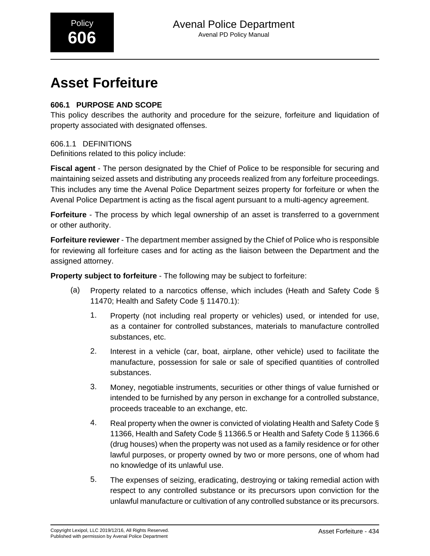# **Asset Forfeiture**

## **606.1 PURPOSE AND SCOPE**

This policy describes the authority and procedure for the seizure, forfeiture and liquidation of property associated with designated offenses.

## 606.1.1 DEFINITIONS

Definitions related to this policy include:

**Fiscal agent** - The person designated by the Chief of Police to be responsible for securing and maintaining seized assets and distributing any proceeds realized from any forfeiture proceedings. This includes any time the Avenal Police Department seizes property for forfeiture or when the Avenal Police Department is acting as the fiscal agent pursuant to a multi-agency agreement.

**Forfeiture** - The process by which legal ownership of an asset is transferred to a government or other authority.

**Forfeiture reviewer** - The department member assigned by the Chief of Police who is responsible for reviewing all forfeiture cases and for acting as the liaison between the Department and the assigned attorney.

**Property subject to forfeiture** - The following may be subject to forfeiture:

- (a) Property related to a narcotics offense, which includes (Heath and Safety Code § 11470; Health and Safety Code § 11470.1):
	- 1. Property (not including real property or vehicles) used, or intended for use, as a container for controlled substances, materials to manufacture controlled substances, etc.
	- 2. Interest in a vehicle (car, boat, airplane, other vehicle) used to facilitate the manufacture, possession for sale or sale of specified quantities of controlled substances.
	- 3. Money, negotiable instruments, securities or other things of value furnished or intended to be furnished by any person in exchange for a controlled substance, proceeds traceable to an exchange, etc.
	- 4. Real property when the owner is convicted of violating Health and Safety Code § 11366, Health and Safety Code § 11366.5 or Health and Safety Code § 11366.6 (drug houses) when the property was not used as a family residence or for other lawful purposes, or property owned by two or more persons, one of whom had no knowledge of its unlawful use.
	- 5. The expenses of seizing, eradicating, destroying or taking remedial action with respect to any controlled substance or its precursors upon conviction for the unlawful manufacture or cultivation of any controlled substance or its precursors.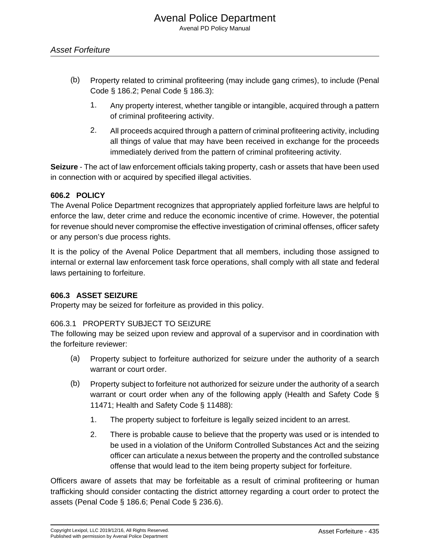- (b) Property related to criminal profiteering (may include gang crimes), to include (Penal Code § 186.2; Penal Code § 186.3):
	- 1. Any property interest, whether tangible or intangible, acquired through a pattern of criminal profiteering activity.
	- 2. All proceeds acquired through a pattern of criminal profiteering activity, including all things of value that may have been received in exchange for the proceeds immediately derived from the pattern of criminal profiteering activity.

**Seizure** - The act of law enforcement officials taking property, cash or assets that have been used in connection with or acquired by specified illegal activities.

#### **606.2 POLICY**

The Avenal Police Department recognizes that appropriately applied forfeiture laws are helpful to enforce the law, deter crime and reduce the economic incentive of crime. However, the potential for revenue should never compromise the effective investigation of criminal offenses, officer safety or any person's due process rights.

It is the policy of the Avenal Police Department that all members, including those assigned to internal or external law enforcement task force operations, shall comply with all state and federal laws pertaining to forfeiture.

#### **606.3 ASSET SEIZURE**

Property may be seized for forfeiture as provided in this policy.

## 606.3.1 PROPERTY SUBJECT TO SEIZURE

The following may be seized upon review and approval of a supervisor and in coordination with the forfeiture reviewer:

- (a) Property subject to forfeiture authorized for seizure under the authority of a search warrant or court order.
- (b) Property subject to forfeiture not authorized for seizure under the authority of a search warrant or court order when any of the following apply (Health and Safety Code § 11471; Health and Safety Code § 11488):
	- 1. The property subject to forfeiture is legally seized incident to an arrest.
	- 2. There is probable cause to believe that the property was used or is intended to be used in a violation of the Uniform Controlled Substances Act and the seizing officer can articulate a nexus between the property and the controlled substance offense that would lead to the item being property subject for forfeiture.

Officers aware of assets that may be forfeitable as a result of criminal profiteering or human trafficking should consider contacting the district attorney regarding a court order to protect the assets (Penal Code § 186.6; Penal Code § 236.6).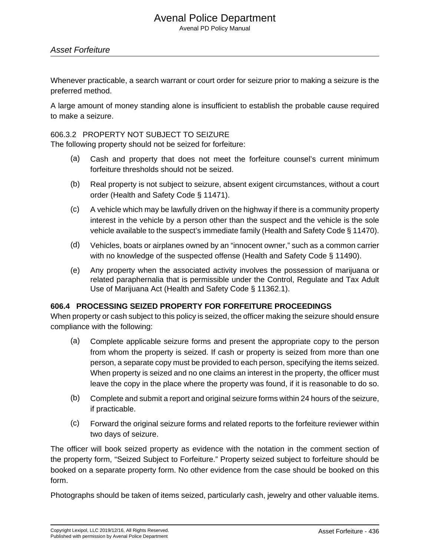Avenal PD Policy Manual

#### Asset Forfeiture

Whenever practicable, a search warrant or court order for seizure prior to making a seizure is the preferred method.

A large amount of money standing alone is insufficient to establish the probable cause required to make a seizure.

#### 606.3.2 PROPERTY NOT SUBJECT TO SEIZURE

The following property should not be seized for forfeiture:

- (a) Cash and property that does not meet the forfeiture counsel's current minimum forfeiture thresholds should not be seized.
- (b) Real property is not subject to seizure, absent exigent circumstances, without a court order (Health and Safety Code § 11471).
- (c) A vehicle which may be lawfully driven on the highway if there is a community property interest in the vehicle by a person other than the suspect and the vehicle is the sole vehicle available to the suspect's immediate family (Health and Safety Code § 11470).
- (d) Vehicles, boats or airplanes owned by an "innocent owner," such as a common carrier with no knowledge of the suspected offense (Health and Safety Code § 11490).
- (e) Any property when the associated activity involves the possession of marijuana or related paraphernalia that is permissible under the Control, Regulate and Tax Adult Use of Marijuana Act (Health and Safety Code § 11362.1).

#### **606.4 PROCESSING SEIZED PROPERTY FOR FORFEITURE PROCEEDINGS**

When property or cash subject to this policy is seized, the officer making the seizure should ensure compliance with the following:

- (a) Complete applicable seizure forms and present the appropriate copy to the person from whom the property is seized. If cash or property is seized from more than one person, a separate copy must be provided to each person, specifying the items seized. When property is seized and no one claims an interest in the property, the officer must leave the copy in the place where the property was found, if it is reasonable to do so.
- (b) Complete and submit a report and original seizure forms within 24 hours of the seizure, if practicable.
- (c) Forward the original seizure forms and related reports to the forfeiture reviewer within two days of seizure.

The officer will book seized property as evidence with the notation in the comment section of the property form, "Seized Subject to Forfeiture." Property seized subject to forfeiture should be booked on a separate property form. No other evidence from the case should be booked on this form.

Photographs should be taken of items seized, particularly cash, jewelry and other valuable items.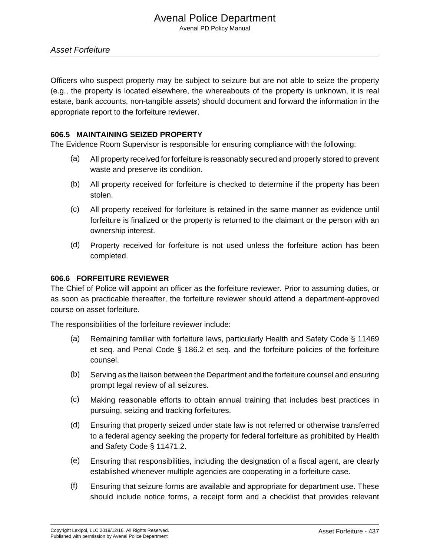Avenal PD Policy Manual

Officers who suspect property may be subject to seizure but are not able to seize the property (e.g., the property is located elsewhere, the whereabouts of the property is unknown, it is real estate, bank accounts, non-tangible assets) should document and forward the information in the appropriate report to the forfeiture reviewer.

#### **606.5 MAINTAINING SEIZED PROPERTY**

The Evidence Room Supervisor is responsible for ensuring compliance with the following:

- (a) All property received for forfeiture is reasonably secured and properly stored to prevent waste and preserve its condition.
- (b) All property received for forfeiture is checked to determine if the property has been stolen.
- (c) All property received for forfeiture is retained in the same manner as evidence until forfeiture is finalized or the property is returned to the claimant or the person with an ownership interest.
- (d) Property received for forfeiture is not used unless the forfeiture action has been completed.

#### **606.6 FORFEITURE REVIEWER**

The Chief of Police will appoint an officer as the forfeiture reviewer. Prior to assuming duties, or as soon as practicable thereafter, the forfeiture reviewer should attend a department-approved course on asset forfeiture.

The responsibilities of the forfeiture reviewer include:

- (a) Remaining familiar with forfeiture laws, particularly Health and Safety Code § 11469 et seq. and Penal Code § 186.2 et seq. and the forfeiture policies of the forfeiture counsel.
- (b) Serving as the liaison between the Department and the forfeiture counsel and ensuring prompt legal review of all seizures.
- (c) Making reasonable efforts to obtain annual training that includes best practices in pursuing, seizing and tracking forfeitures.
- (d) Ensuring that property seized under state law is not referred or otherwise transferred to a federal agency seeking the property for federal forfeiture as prohibited by Health and Safety Code § 11471.2.
- (e) Ensuring that responsibilities, including the designation of a fiscal agent, are clearly established whenever multiple agencies are cooperating in a forfeiture case.
- (f) Ensuring that seizure forms are available and appropriate for department use. These should include notice forms, a receipt form and a checklist that provides relevant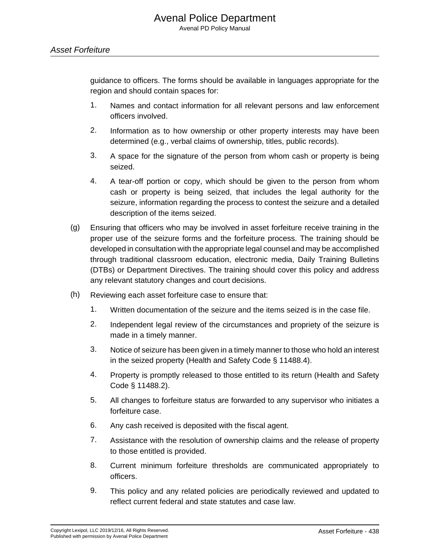guidance to officers. The forms should be available in languages appropriate for the region and should contain spaces for:

- 1. Names and contact information for all relevant persons and law enforcement officers involved.
- 2. Information as to how ownership or other property interests may have been determined (e.g., verbal claims of ownership, titles, public records).
- 3. A space for the signature of the person from whom cash or property is being seized.
- 4. A tear-off portion or copy, which should be given to the person from whom cash or property is being seized, that includes the legal authority for the seizure, information regarding the process to contest the seizure and a detailed description of the items seized.
- (g) Ensuring that officers who may be involved in asset forfeiture receive training in the proper use of the seizure forms and the forfeiture process. The training should be developed in consultation with the appropriate legal counsel and may be accomplished through traditional classroom education, electronic media, Daily Training Bulletins (DTBs) or Department Directives. The training should cover this policy and address any relevant statutory changes and court decisions.
- (h) Reviewing each asset forfeiture case to ensure that:
	- 1. Written documentation of the seizure and the items seized is in the case file.
	- 2. Independent legal review of the circumstances and propriety of the seizure is made in a timely manner.
	- 3. Notice of seizure has been given in a timely manner to those who hold an interest in the seized property (Health and Safety Code § 11488.4).
	- 4. Property is promptly released to those entitled to its return (Health and Safety Code § 11488.2).
	- 5. All changes to forfeiture status are forwarded to any supervisor who initiates a forfeiture case.
	- 6. Any cash received is deposited with the fiscal agent.
	- 7. Assistance with the resolution of ownership claims and the release of property to those entitled is provided.
	- 8. Current minimum forfeiture thresholds are communicated appropriately to officers.
	- 9. This policy and any related policies are periodically reviewed and updated to reflect current federal and state statutes and case law.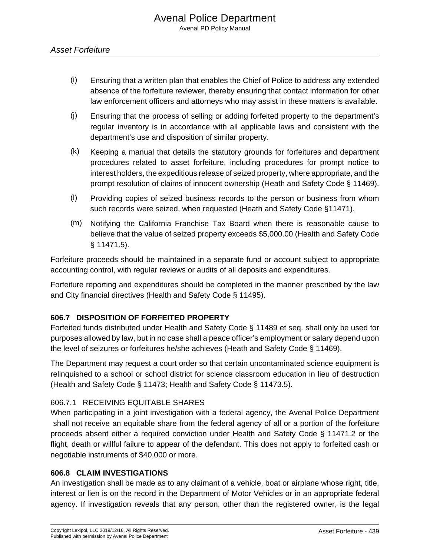- (i) Ensuring that a written plan that enables the Chief of Police to address any extended absence of the forfeiture reviewer, thereby ensuring that contact information for other law enforcement officers and attorneys who may assist in these matters is available.
- (j) Ensuring that the process of selling or adding forfeited property to the department's regular inventory is in accordance with all applicable laws and consistent with the department's use and disposition of similar property.
- (k) Keeping a manual that details the statutory grounds for forfeitures and department procedures related to asset forfeiture, including procedures for prompt notice to interest holders, the expeditious release of seized property, where appropriate, and the prompt resolution of claims of innocent ownership (Heath and Safety Code § 11469).
- (l) Providing copies of seized business records to the person or business from whom such records were seized, when requested (Heath and Safety Code §11471).
- (m) Notifying the California Franchise Tax Board when there is reasonable cause to believe that the value of seized property exceeds \$5,000.00 (Health and Safety Code § 11471.5).

Forfeiture proceeds should be maintained in a separate fund or account subject to appropriate accounting control, with regular reviews or audits of all deposits and expenditures.

Forfeiture reporting and expenditures should be completed in the manner prescribed by the law and City financial directives (Health and Safety Code § 11495).

## **606.7 DISPOSITION OF FORFEITED PROPERTY**

Forfeited funds distributed under Health and Safety Code § 11489 et seq. shall only be used for purposes allowed by law, but in no case shall a peace officer's employment or salary depend upon the level of seizures or forfeitures he/she achieves (Heath and Safety Code § 11469).

The Department may request a court order so that certain uncontaminated science equipment is relinquished to a school or school district for science classroom education in lieu of destruction (Health and Safety Code § 11473; Health and Safety Code § 11473.5).

#### 606.7.1 RECEIVING EQUITABLE SHARES

When participating in a joint investigation with a federal agency, the Avenal Police Department shall not receive an equitable share from the federal agency of all or a portion of the forfeiture proceeds absent either a required conviction under Health and Safety Code § 11471.2 or the flight, death or willful failure to appear of the defendant. This does not apply to forfeited cash or negotiable instruments of \$40,000 or more.

#### **606.8 CLAIM INVESTIGATIONS**

An investigation shall be made as to any claimant of a vehicle, boat or airplane whose right, title, interest or lien is on the record in the Department of Motor Vehicles or in an appropriate federal agency. If investigation reveals that any person, other than the registered owner, is the legal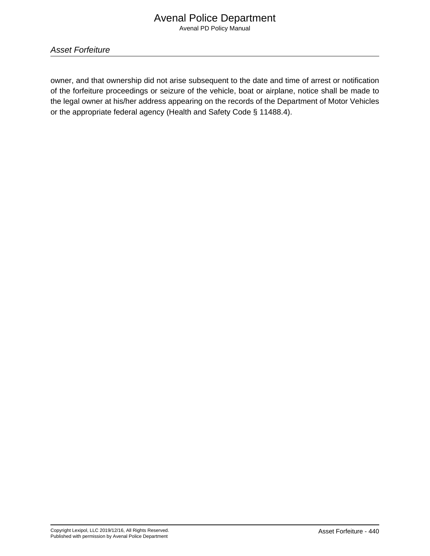Asset Forfeiture

owner, and that ownership did not arise subsequent to the date and time of arrest or notification of the forfeiture proceedings or seizure of the vehicle, boat or airplane, notice shall be made to the legal owner at his/her address appearing on the records of the Department of Motor Vehicles or the appropriate federal agency (Health and Safety Code § 11488.4).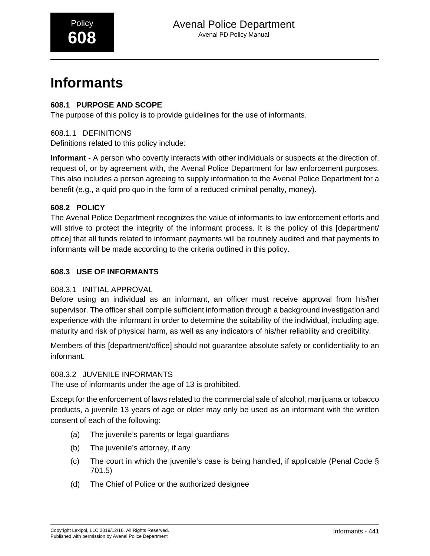# **Informants**

## **608.1 PURPOSE AND SCOPE**

The purpose of this policy is to provide guidelines for the use of informants.

608.1.1 DEFINITIONS

Definitions related to this policy include:

**Informant** - A person who covertly interacts with other individuals or suspects at the direction of, request of, or by agreement with, the Avenal Police Department for law enforcement purposes. This also includes a person agreeing to supply information to the Avenal Police Department for a benefit (e.g., a quid pro quo in the form of a reduced criminal penalty, money).

## **608.2 POLICY**

The Avenal Police Department recognizes the value of informants to law enforcement efforts and will strive to protect the integrity of the informant process. It is the policy of this [department/ office] that all funds related to informant payments will be routinely audited and that payments to informants will be made according to the criteria outlined in this policy.

## **608.3 USE OF INFORMANTS**

## 608.3.1 INITIAL APPROVAL

Before using an individual as an informant, an officer must receive approval from his/her supervisor. The officer shall compile sufficient information through a background investigation and experience with the informant in order to determine the suitability of the individual, including age, maturity and risk of physical harm, as well as any indicators of his/her reliability and credibility.

Members of this [department/office] should not guarantee absolute safety or confidentiality to an informant.

## 608.3.2 JUVENILE INFORMANTS

The use of informants under the age of 13 is prohibited.

Except for the enforcement of laws related to the commercial sale of alcohol, marijuana or tobacco products, a juvenile 13 years of age or older may only be used as an informant with the written consent of each of the following:

- (a) The juvenile's parents or legal guardians
- (b) The juvenile's attorney, if any
- (c) The court in which the juvenile's case is being handled, if applicable (Penal Code § 701.5)
- (d) The Chief of Police or the authorized designee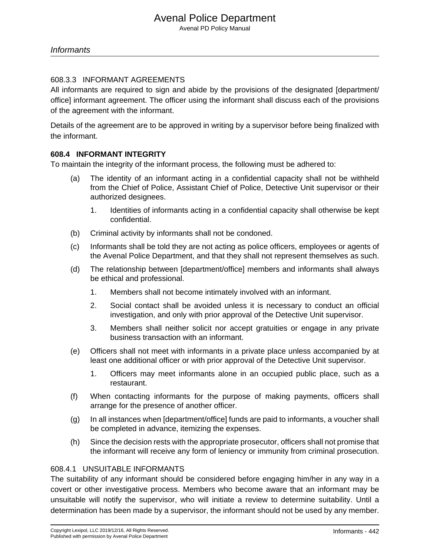#### **Informants**

#### 608.3.3 INFORMANT AGREEMENTS

All informants are required to sign and abide by the provisions of the designated [department/ office] informant agreement. The officer using the informant shall discuss each of the provisions of the agreement with the informant.

Details of the agreement are to be approved in writing by a supervisor before being finalized with the informant.

#### **608.4 INFORMANT INTEGRITY**

To maintain the integrity of the informant process, the following must be adhered to:

- (a) The identity of an informant acting in a confidential capacity shall not be withheld from the Chief of Police, Assistant Chief of Police, Detective Unit supervisor or their authorized designees.
	- 1. Identities of informants acting in a confidential capacity shall otherwise be kept confidential.
- (b) Criminal activity by informants shall not be condoned.
- (c) Informants shall be told they are not acting as police officers, employees or agents of the Avenal Police Department, and that they shall not represent themselves as such.
- (d) The relationship between [department/office] members and informants shall always be ethical and professional.
	- 1. Members shall not become intimately involved with an informant.
	- 2. Social contact shall be avoided unless it is necessary to conduct an official investigation, and only with prior approval of the Detective Unit supervisor.
	- 3. Members shall neither solicit nor accept gratuities or engage in any private business transaction with an informant.
- (e) Officers shall not meet with informants in a private place unless accompanied by at least one additional officer or with prior approval of the Detective Unit supervisor.
	- 1. Officers may meet informants alone in an occupied public place, such as a restaurant.
- (f) When contacting informants for the purpose of making payments, officers shall arrange for the presence of another officer.
- (g) In all instances when [department/office] funds are paid to informants, a voucher shall be completed in advance, itemizing the expenses.
- (h) Since the decision rests with the appropriate prosecutor, officers shall not promise that the informant will receive any form of leniency or immunity from criminal prosecution.

#### 608.4.1 UNSUITABLE INFORMANTS

The suitability of any informant should be considered before engaging him/her in any way in a covert or other investigative process. Members who become aware that an informant may be unsuitable will notify the supervisor, who will initiate a review to determine suitability. Until a determination has been made by a supervisor, the informant should not be used by any member.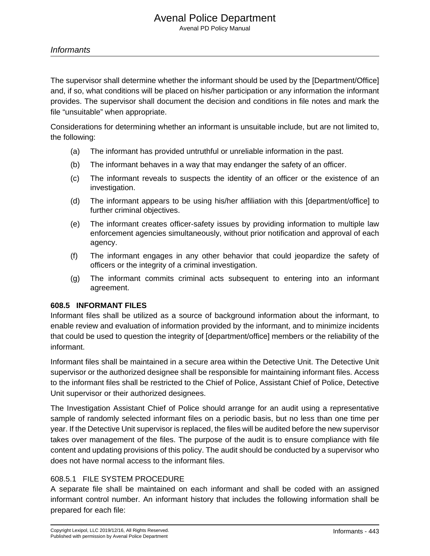#### **Informants**

The supervisor shall determine whether the informant should be used by the [Department/Office] and, if so, what conditions will be placed on his/her participation or any information the informant provides. The supervisor shall document the decision and conditions in file notes and mark the file "unsuitable" when appropriate.

Considerations for determining whether an informant is unsuitable include, but are not limited to, the following:

- (a) The informant has provided untruthful or unreliable information in the past.
- (b) The informant behaves in a way that may endanger the safety of an officer.
- (c) The informant reveals to suspects the identity of an officer or the existence of an investigation.
- (d) The informant appears to be using his/her affiliation with this [department/office] to further criminal objectives.
- (e) The informant creates officer-safety issues by providing information to multiple law enforcement agencies simultaneously, without prior notification and approval of each agency.
- (f) The informant engages in any other behavior that could jeopardize the safety of officers or the integrity of a criminal investigation.
- (g) The informant commits criminal acts subsequent to entering into an informant agreement.

#### **608.5 INFORMANT FILES**

Informant files shall be utilized as a source of background information about the informant, to enable review and evaluation of information provided by the informant, and to minimize incidents that could be used to question the integrity of [department/office] members or the reliability of the informant.

Informant files shall be maintained in a secure area within the Detective Unit. The Detective Unit supervisor or the authorized designee shall be responsible for maintaining informant files. Access to the informant files shall be restricted to the Chief of Police, Assistant Chief of Police, Detective Unit supervisor or their authorized designees.

The Investigation Assistant Chief of Police should arrange for an audit using a representative sample of randomly selected informant files on a periodic basis, but no less than one time per year. If the Detective Unit supervisor is replaced, the files will be audited before the new supervisor takes over management of the files. The purpose of the audit is to ensure compliance with file content and updating provisions of this policy. The audit should be conducted by a supervisor who does not have normal access to the informant files.

### 608.5.1 FILE SYSTEM PROCEDURE

A separate file shall be maintained on each informant and shall be coded with an assigned informant control number. An informant history that includes the following information shall be prepared for each file: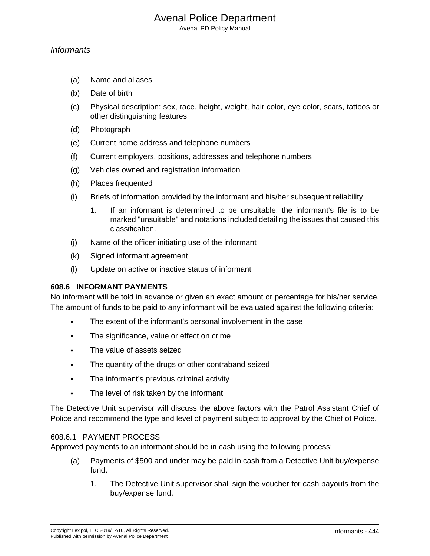Avenal PD Policy Manual

- (a) Name and aliases
- (b) Date of birth
- (c) Physical description: sex, race, height, weight, hair color, eye color, scars, tattoos or other distinguishing features
- (d) Photograph
- (e) Current home address and telephone numbers
- (f) Current employers, positions, addresses and telephone numbers
- (g) Vehicles owned and registration information
- (h) Places frequented
- (i) Briefs of information provided by the informant and his/her subsequent reliability
	- 1. If an informant is determined to be unsuitable, the informant's file is to be marked "unsuitable" and notations included detailing the issues that caused this classification.
- (j) Name of the officer initiating use of the informant
- (k) Signed informant agreement
- (l) Update on active or inactive status of informant

#### **608.6 INFORMANT PAYMENTS**

No informant will be told in advance or given an exact amount or percentage for his/her service. The amount of funds to be paid to any informant will be evaluated against the following criteria:

- The extent of the informant's personal involvement in the case
- The significance, value or effect on crime
- The value of assets seized
- The quantity of the drugs or other contraband seized
- The informant's previous criminal activity
- The level of risk taken by the informant

The Detective Unit supervisor will discuss the above factors with the Patrol Assistant Chief of Police and recommend the type and level of payment subject to approval by the Chief of Police.

#### 608.6.1 PAYMENT PROCESS

Approved payments to an informant should be in cash using the following process:

- (a) Payments of \$500 and under may be paid in cash from a Detective Unit buy/expense fund.
	- 1. The Detective Unit supervisor shall sign the voucher for cash payouts from the buy/expense fund.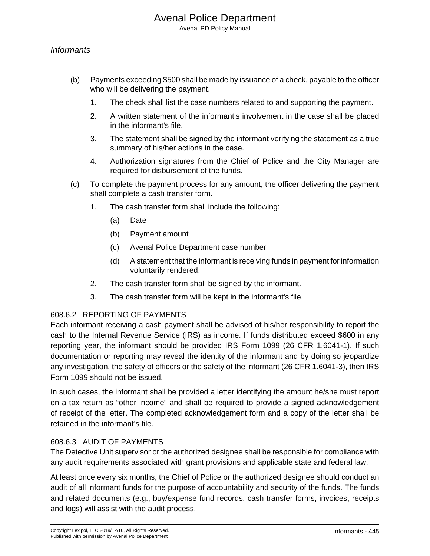- (b) Payments exceeding \$500 shall be made by issuance of a check, payable to the officer who will be delivering the payment.
	- 1. The check shall list the case numbers related to and supporting the payment.
	- 2. A written statement of the informant's involvement in the case shall be placed in the informant's file.
	- 3. The statement shall be signed by the informant verifying the statement as a true summary of his/her actions in the case.
	- 4. Authorization signatures from the Chief of Police and the City Manager are required for disbursement of the funds.
- (c) To complete the payment process for any amount, the officer delivering the payment shall complete a cash transfer form.
	- 1. The cash transfer form shall include the following:
		- (a) Date
		- (b) Payment amount
		- (c) Avenal Police Department case number
		- (d) A statement that the informant is receiving funds in payment for information voluntarily rendered.
	- 2. The cash transfer form shall be signed by the informant.
	- 3. The cash transfer form will be kept in the informant's file.

#### 608.6.2 REPORTING OF PAYMENTS

Each informant receiving a cash payment shall be advised of his/her responsibility to report the cash to the Internal Revenue Service (IRS) as income. If funds distributed exceed \$600 in any reporting year, the informant should be provided IRS Form 1099 (26 CFR 1.6041-1). If such documentation or reporting may reveal the identity of the informant and by doing so jeopardize any investigation, the safety of officers or the safety of the informant (26 CFR 1.6041-3), then IRS Form 1099 should not be issued.

In such cases, the informant shall be provided a letter identifying the amount he/she must report on a tax return as "other income" and shall be required to provide a signed acknowledgement of receipt of the letter. The completed acknowledgement form and a copy of the letter shall be retained in the informant's file.

#### 608.6.3 AUDIT OF PAYMENTS

The Detective Unit supervisor or the authorized designee shall be responsible for compliance with any audit requirements associated with grant provisions and applicable state and federal law.

At least once every six months, the Chief of Police or the authorized designee should conduct an audit of all informant funds for the purpose of accountability and security of the funds. The funds and related documents (e.g., buy/expense fund records, cash transfer forms, invoices, receipts and logs) will assist with the audit process.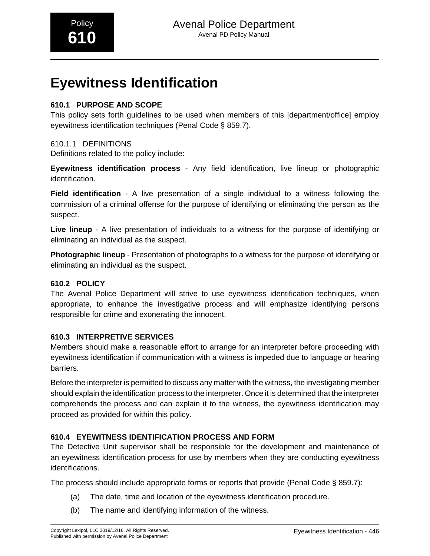# **Eyewitness Identification**

## **610.1 PURPOSE AND SCOPE**

This policy sets forth guidelines to be used when members of this [department/office] employ eyewitness identification techniques (Penal Code § 859.7).

## 610.1.1 DEFINITIONS

Definitions related to the policy include:

**Eyewitness identification process** - Any field identification, live lineup or photographic identification.

**Field identification** - A live presentation of a single individual to a witness following the commission of a criminal offense for the purpose of identifying or eliminating the person as the suspect.

**Live lineup** - A live presentation of individuals to a witness for the purpose of identifying or eliminating an individual as the suspect.

**Photographic lineup** - Presentation of photographs to a witness for the purpose of identifying or eliminating an individual as the suspect.

## **610.2 POLICY**

The Avenal Police Department will strive to use eyewitness identification techniques, when appropriate, to enhance the investigative process and will emphasize identifying persons responsible for crime and exonerating the innocent.

## **610.3 INTERPRETIVE SERVICES**

Members should make a reasonable effort to arrange for an interpreter before proceeding with eyewitness identification if communication with a witness is impeded due to language or hearing barriers.

Before the interpreter is permitted to discuss any matter with the witness, the investigating member should explain the identification process to the interpreter. Once it is determined that the interpreter comprehends the process and can explain it to the witness, the eyewitness identification may proceed as provided for within this policy.

## **610.4 EYEWITNESS IDENTIFICATION PROCESS AND FORM**

The Detective Unit supervisor shall be responsible for the development and maintenance of an eyewitness identification process for use by members when they are conducting eyewitness identifications.

The process should include appropriate forms or reports that provide (Penal Code § 859.7):

- (a) The date, time and location of the eyewitness identification procedure.
- (b) The name and identifying information of the witness.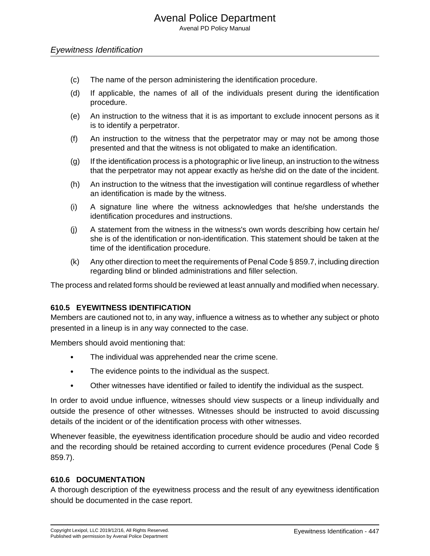#### Eyewitness Identification

- (c) The name of the person administering the identification procedure.
- (d) If applicable, the names of all of the individuals present during the identification procedure.
- (e) An instruction to the witness that it is as important to exclude innocent persons as it is to identify a perpetrator.
- (f) An instruction to the witness that the perpetrator may or may not be among those presented and that the witness is not obligated to make an identification.
- (g) If the identification process is a photographic or live lineup, an instruction to the witness that the perpetrator may not appear exactly as he/she did on the date of the incident.
- (h) An instruction to the witness that the investigation will continue regardless of whether an identification is made by the witness.
- (i) A signature line where the witness acknowledges that he/she understands the identification procedures and instructions.
- (j) A statement from the witness in the witness's own words describing how certain he/ she is of the identification or non-identification. This statement should be taken at the time of the identification procedure.
- (k) Any other direction to meet the requirements of Penal Code § 859.7, including direction regarding blind or blinded administrations and filler selection.

The process and related forms should be reviewed at least annually and modified when necessary.

#### **610.5 EYEWITNESS IDENTIFICATION**

Members are cautioned not to, in any way, influence a witness as to whether any subject or photo presented in a lineup is in any way connected to the case.

Members should avoid mentioning that:

- The individual was apprehended near the crime scene.
- The evidence points to the individual as the suspect.
- Other witnesses have identified or failed to identify the individual as the suspect.

In order to avoid undue influence, witnesses should view suspects or a lineup individually and outside the presence of other witnesses. Witnesses should be instructed to avoid discussing details of the incident or of the identification process with other witnesses.

Whenever feasible, the eyewitness identification procedure should be audio and video recorded and the recording should be retained according to current evidence procedures (Penal Code § 859.7).

#### **610.6 DOCUMENTATION**

A thorough description of the eyewitness process and the result of any eyewitness identification should be documented in the case report.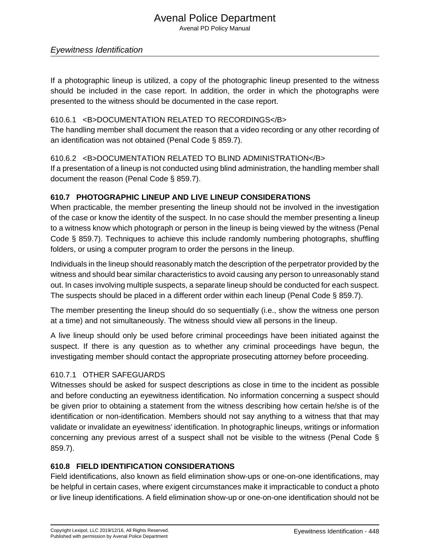Avenal PD Policy Manual

### Eyewitness Identification

If a photographic lineup is utilized, a copy of the photographic lineup presented to the witness should be included in the case report. In addition, the order in which the photographs were presented to the witness should be documented in the case report.

#### 610.6.1 <B>DOCUMENTATION RELATED TO RECORDINGS</B>

The handling member shall document the reason that a video recording or any other recording of an identification was not obtained (Penal Code § 859.7).

#### 610.6.2 <B>DOCUMENTATION RELATED TO BLIND ADMINISTRATION</B>

If a presentation of a lineup is not conducted using blind administration, the handling member shall document the reason (Penal Code § 859.7).

#### **610.7 PHOTOGRAPHIC LINEUP AND LIVE LINEUP CONSIDERATIONS**

When practicable, the member presenting the lineup should not be involved in the investigation of the case or know the identity of the suspect. In no case should the member presenting a lineup to a witness know which photograph or person in the lineup is being viewed by the witness (Penal Code § 859.7). Techniques to achieve this include randomly numbering photographs, shuffling folders, or using a computer program to order the persons in the lineup.

Individuals in the lineup should reasonably match the description of the perpetrator provided by the witness and should bear similar characteristics to avoid causing any person to unreasonably stand out. In cases involving multiple suspects, a separate lineup should be conducted for each suspect. The suspects should be placed in a different order within each lineup (Penal Code § 859.7).

The member presenting the lineup should do so sequentially (i.e., show the witness one person at a time) and not simultaneously. The witness should view all persons in the lineup.

A live lineup should only be used before criminal proceedings have been initiated against the suspect. If there is any question as to whether any criminal proceedings have begun, the investigating member should contact the appropriate prosecuting attorney before proceeding.

#### 610.7.1 OTHER SAFEGUARDS

Witnesses should be asked for suspect descriptions as close in time to the incident as possible and before conducting an eyewitness identification. No information concerning a suspect should be given prior to obtaining a statement from the witness describing how certain he/she is of the identification or non-identification. Members should not say anything to a witness that that may validate or invalidate an eyewitness' identification. In photographic lineups, writings or information concerning any previous arrest of a suspect shall not be visible to the witness (Penal Code § 859.7).

## **610.8 FIELD IDENTIFICATION CONSIDERATIONS**

Field identifications, also known as field elimination show-ups or one-on-one identifications, may be helpful in certain cases, where exigent circumstances make it impracticable to conduct a photo or live lineup identifications. A field elimination show-up or one-on-one identification should not be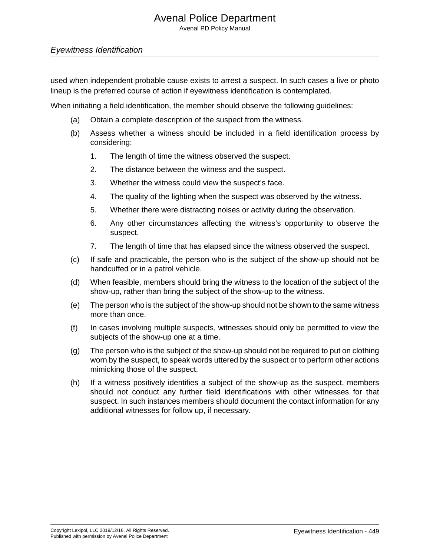Avenal PD Policy Manual

### Eyewitness Identification

used when independent probable cause exists to arrest a suspect. In such cases a live or photo lineup is the preferred course of action if eyewitness identification is contemplated.

When initiating a field identification, the member should observe the following guidelines:

- (a) Obtain a complete description of the suspect from the witness.
- (b) Assess whether a witness should be included in a field identification process by considering:
	- 1. The length of time the witness observed the suspect.
	- 2. The distance between the witness and the suspect.
	- 3. Whether the witness could view the suspect's face.
	- 4. The quality of the lighting when the suspect was observed by the witness.
	- 5. Whether there were distracting noises or activity during the observation.
	- 6. Any other circumstances affecting the witness's opportunity to observe the suspect.
	- 7. The length of time that has elapsed since the witness observed the suspect.
- (c) If safe and practicable, the person who is the subject of the show-up should not be handcuffed or in a patrol vehicle.
- (d) When feasible, members should bring the witness to the location of the subject of the show-up, rather than bring the subject of the show-up to the witness.
- (e) The person who is the subject of the show-up should not be shown to the same witness more than once.
- (f) In cases involving multiple suspects, witnesses should only be permitted to view the subjects of the show-up one at a time.
- (g) The person who is the subject of the show-up should not be required to put on clothing worn by the suspect, to speak words uttered by the suspect or to perform other actions mimicking those of the suspect.
- (h) If a witness positively identifies a subject of the show-up as the suspect, members should not conduct any further field identifications with other witnesses for that suspect. In such instances members should document the contact information for any additional witnesses for follow up, if necessary.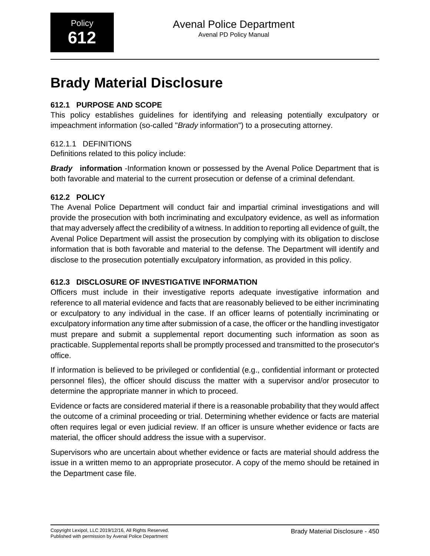# **Brady Material Disclosure**

## **612.1 PURPOSE AND SCOPE**

This policy establishes guidelines for identifying and releasing potentially exculpatory or impeachment information (so-called "Brady information") to a prosecuting attorney.

## 612.1.1 DEFINITIONS

Definitions related to this policy include:

**Brady information** -Information known or possessed by the Avenal Police Department that is both favorable and material to the current prosecution or defense of a criminal defendant.

## **612.2 POLICY**

The Avenal Police Department will conduct fair and impartial criminal investigations and will provide the prosecution with both incriminating and exculpatory evidence, as well as information that may adversely affect the credibility of a witness. In addition to reporting all evidence of guilt, the Avenal Police Department will assist the prosecution by complying with its obligation to disclose information that is both favorable and material to the defense. The Department will identify and disclose to the prosecution potentially exculpatory information, as provided in this policy.

### **612.3 DISCLOSURE OF INVESTIGATIVE INFORMATION**

Officers must include in their investigative reports adequate investigative information and reference to all material evidence and facts that are reasonably believed to be either incriminating or exculpatory to any individual in the case. If an officer learns of potentially incriminating or exculpatory information any time after submission of a case, the officer or the handling investigator must prepare and submit a supplemental report documenting such information as soon as practicable. Supplemental reports shall be promptly processed and transmitted to the prosecutor's office.

If information is believed to be privileged or confidential (e.g., confidential informant or protected personnel files), the officer should discuss the matter with a supervisor and/or prosecutor to determine the appropriate manner in which to proceed.

Evidence or facts are considered material if there is a reasonable probability that they would affect the outcome of a criminal proceeding or trial. Determining whether evidence or facts are material often requires legal or even judicial review. If an officer is unsure whether evidence or facts are material, the officer should address the issue with a supervisor.

Supervisors who are uncertain about whether evidence or facts are material should address the issue in a written memo to an appropriate prosecutor. A copy of the memo should be retained in the Department case file.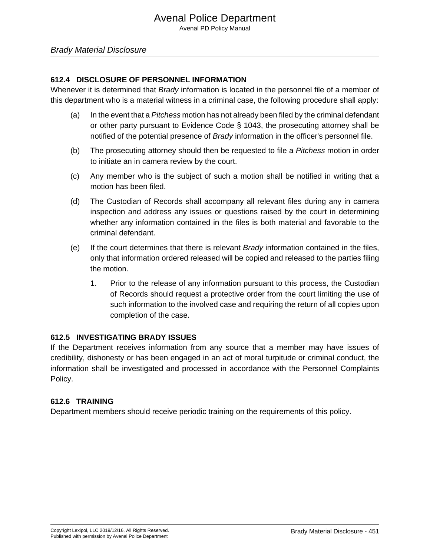#### **612.4 DISCLOSURE OF PERSONNEL INFORMATION**

Whenever it is determined that *Brady* information is located in the personnel file of a member of this department who is a material witness in a criminal case, the following procedure shall apply:

- (a) In the event that a Pitchess motion has not already been filed by the criminal defendant or other party pursuant to Evidence Code § 1043, the prosecuting attorney shall be notified of the potential presence of Brady information in the officer's personnel file.
- (b) The prosecuting attorney should then be requested to file a Pitchess motion in order to initiate an in camera review by the court.
- (c) Any member who is the subject of such a motion shall be notified in writing that a motion has been filed.
- (d) The Custodian of Records shall accompany all relevant files during any in camera inspection and address any issues or questions raised by the court in determining whether any information contained in the files is both material and favorable to the criminal defendant.
- (e) If the court determines that there is relevant  $Bradv$  information contained in the files, only that information ordered released will be copied and released to the parties filing the motion.
	- 1. Prior to the release of any information pursuant to this process, the Custodian of Records should request a protective order from the court limiting the use of such information to the involved case and requiring the return of all copies upon completion of the case.

#### **612.5 INVESTIGATING BRADY ISSUES**

If the Department receives information from any source that a member may have issues of credibility, dishonesty or has been engaged in an act of moral turpitude or criminal conduct, the information shall be investigated and processed in accordance with the Personnel Complaints Policy.

#### **612.6 TRAINING**

Department members should receive periodic training on the requirements of this policy.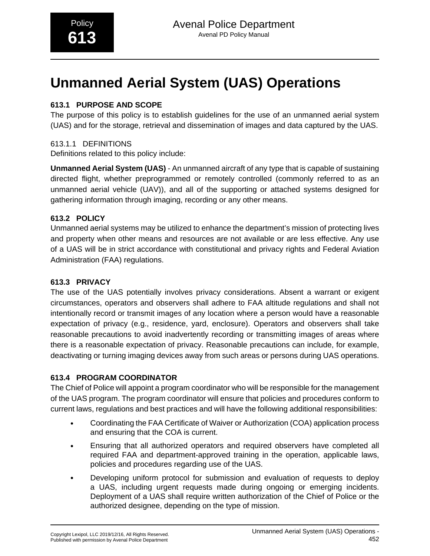# **Unmanned Aerial System (UAS) Operations**

## **613.1 PURPOSE AND SCOPE**

The purpose of this policy is to establish guidelines for the use of an unmanned aerial system (UAS) and for the storage, retrieval and dissemination of images and data captured by the UAS.

## 613.1.1 DEFINITIONS

Definitions related to this policy include:

**Unmanned Aerial System (UAS)** - An unmanned aircraft of any type that is capable of sustaining directed flight, whether preprogrammed or remotely controlled (commonly referred to as an unmanned aerial vehicle (UAV)), and all of the supporting or attached systems designed for gathering information through imaging, recording or any other means.

## **613.2 POLICY**

Unmanned aerial systems may be utilized to enhance the department's mission of protecting lives and property when other means and resources are not available or are less effective. Any use of a UAS will be in strict accordance with constitutional and privacy rights and Federal Aviation Administration (FAA) regulations.

## **613.3 PRIVACY**

The use of the UAS potentially involves privacy considerations. Absent a warrant or exigent circumstances, operators and observers shall adhere to FAA altitude regulations and shall not intentionally record or transmit images of any location where a person would have a reasonable expectation of privacy (e.g., residence, yard, enclosure). Operators and observers shall take reasonable precautions to avoid inadvertently recording or transmitting images of areas where there is a reasonable expectation of privacy. Reasonable precautions can include, for example, deactivating or turning imaging devices away from such areas or persons during UAS operations.

## **613.4 PROGRAM COORDINATOR**

The Chief of Police will appoint a program coordinator who will be responsible for the management of the UAS program. The program coordinator will ensure that policies and procedures conform to current laws, regulations and best practices and will have the following additional responsibilities:

- Coordinating the FAA Certificate of Waiver or Authorization (COA) application process and ensuring that the COA is current.
- Ensuring that all authorized operators and required observers have completed all required FAA and department-approved training in the operation, applicable laws, policies and procedures regarding use of the UAS.
- Developing uniform protocol for submission and evaluation of requests to deploy a UAS, including urgent requests made during ongoing or emerging incidents. Deployment of a UAS shall require written authorization of the Chief of Police or the authorized designee, depending on the type of mission.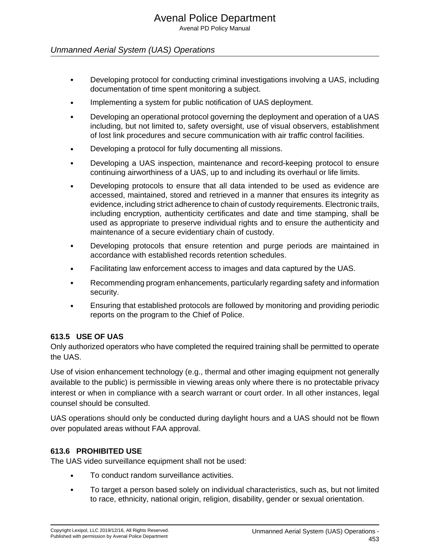## Unmanned Aerial System (UAS) Operations

- Developing protocol for conducting criminal investigations involving a UAS, including documentation of time spent monitoring a subject.
- Implementing a system for public notification of UAS deployment.
- Developing an operational protocol governing the deployment and operation of a UAS including, but not limited to, safety oversight, use of visual observers, establishment of lost link procedures and secure communication with air traffic control facilities.
- Developing a protocol for fully documenting all missions.
- Developing a UAS inspection, maintenance and record-keeping protocol to ensure continuing airworthiness of a UAS, up to and including its overhaul or life limits.
- Developing protocols to ensure that all data intended to be used as evidence are accessed, maintained, stored and retrieved in a manner that ensures its integrity as evidence, including strict adherence to chain of custody requirements. Electronic trails, including encryption, authenticity certificates and date and time stamping, shall be used as appropriate to preserve individual rights and to ensure the authenticity and maintenance of a secure evidentiary chain of custody.
- Developing protocols that ensure retention and purge periods are maintained in accordance with established records retention schedules.
- Facilitating law enforcement access to images and data captured by the UAS.
- Recommending program enhancements, particularly regarding safety and information security.
- Ensuring that established protocols are followed by monitoring and providing periodic reports on the program to the Chief of Police.

#### **613.5 USE OF UAS**

Only authorized operators who have completed the required training shall be permitted to operate the UAS.

Use of vision enhancement technology (e.g., thermal and other imaging equipment not generally available to the public) is permissible in viewing areas only where there is no protectable privacy interest or when in compliance with a search warrant or court order. In all other instances, legal counsel should be consulted.

UAS operations should only be conducted during daylight hours and a UAS should not be flown over populated areas without FAA approval.

## **613.6 PROHIBITED USE**

The UAS video surveillance equipment shall not be used:

- To conduct random surveillance activities.
- To target a person based solely on individual characteristics, such as, but not limited to race, ethnicity, national origin, religion, disability, gender or sexual orientation.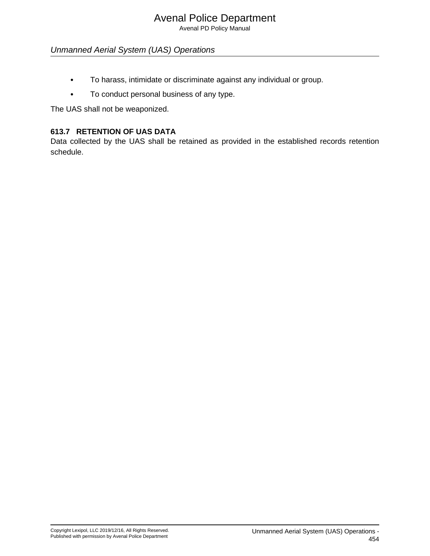Avenal PD Policy Manual

## Unmanned Aerial System (UAS) Operations

- To harass, intimidate or discriminate against any individual or group.
- To conduct personal business of any type.

The UAS shall not be weaponized.

## **613.7 RETENTION OF UAS DATA**

Data collected by the UAS shall be retained as provided in the established records retention schedule.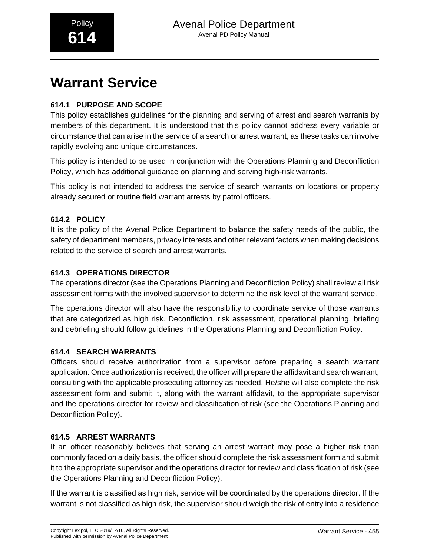# **Warrant Service**

## **614.1 PURPOSE AND SCOPE**

This policy establishes guidelines for the planning and serving of arrest and search warrants by members of this department. It is understood that this policy cannot address every variable or circumstance that can arise in the service of a search or arrest warrant, as these tasks can involve rapidly evolving and unique circumstances.

This policy is intended to be used in conjunction with the Operations Planning and Deconfliction Policy, which has additional guidance on planning and serving high-risk warrants.

This policy is not intended to address the service of search warrants on locations or property already secured or routine field warrant arrests by patrol officers.

## **614.2 POLICY**

It is the policy of the Avenal Police Department to balance the safety needs of the public, the safety of department members, privacy interests and other relevant factors when making decisions related to the service of search and arrest warrants.

## **614.3 OPERATIONS DIRECTOR**

The operations director (see the Operations Planning and Deconfliction Policy) shall review all risk assessment forms with the involved supervisor to determine the risk level of the warrant service.

The operations director will also have the responsibility to coordinate service of those warrants that are categorized as high risk. Deconfliction, risk assessment, operational planning, briefing and debriefing should follow guidelines in the Operations Planning and Deconfliction Policy.

## **614.4 SEARCH WARRANTS**

Officers should receive authorization from a supervisor before preparing a search warrant application. Once authorization is received, the officer will prepare the affidavit and search warrant, consulting with the applicable prosecuting attorney as needed. He/she will also complete the risk assessment form and submit it, along with the warrant affidavit, to the appropriate supervisor and the operations director for review and classification of risk (see the Operations Planning and Deconfliction Policy).

## **614.5 ARREST WARRANTS**

If an officer reasonably believes that serving an arrest warrant may pose a higher risk than commonly faced on a daily basis, the officer should complete the risk assessment form and submit it to the appropriate supervisor and the operations director for review and classification of risk (see the Operations Planning and Deconfliction Policy).

If the warrant is classified as high risk, service will be coordinated by the operations director. If the warrant is not classified as high risk, the supervisor should weigh the risk of entry into a residence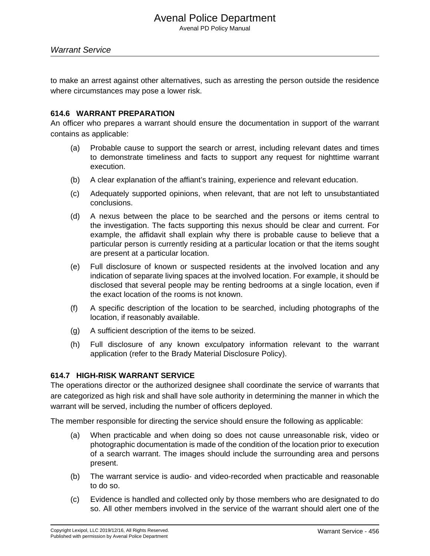to make an arrest against other alternatives, such as arresting the person outside the residence where circumstances may pose a lower risk.

#### **614.6 WARRANT PREPARATION**

An officer who prepares a warrant should ensure the documentation in support of the warrant contains as applicable:

- (a) Probable cause to support the search or arrest, including relevant dates and times to demonstrate timeliness and facts to support any request for nighttime warrant execution.
- (b) A clear explanation of the affiant's training, experience and relevant education.
- (c) Adequately supported opinions, when relevant, that are not left to unsubstantiated conclusions.
- (d) A nexus between the place to be searched and the persons or items central to the investigation. The facts supporting this nexus should be clear and current. For example, the affidavit shall explain why there is probable cause to believe that a particular person is currently residing at a particular location or that the items sought are present at a particular location.
- (e) Full disclosure of known or suspected residents at the involved location and any indication of separate living spaces at the involved location. For example, it should be disclosed that several people may be renting bedrooms at a single location, even if the exact location of the rooms is not known.
- (f) A specific description of the location to be searched, including photographs of the location, if reasonably available.
- (g) A sufficient description of the items to be seized.
- (h) Full disclosure of any known exculpatory information relevant to the warrant application (refer to the Brady Material Disclosure Policy).

#### **614.7 HIGH-RISK WARRANT SERVICE**

The operations director or the authorized designee shall coordinate the service of warrants that are categorized as high risk and shall have sole authority in determining the manner in which the warrant will be served, including the number of officers deployed.

The member responsible for directing the service should ensure the following as applicable:

- (a) When practicable and when doing so does not cause unreasonable risk, video or photographic documentation is made of the condition of the location prior to execution of a search warrant. The images should include the surrounding area and persons present.
- (b) The warrant service is audio- and video-recorded when practicable and reasonable to do so.
- (c) Evidence is handled and collected only by those members who are designated to do so. All other members involved in the service of the warrant should alert one of the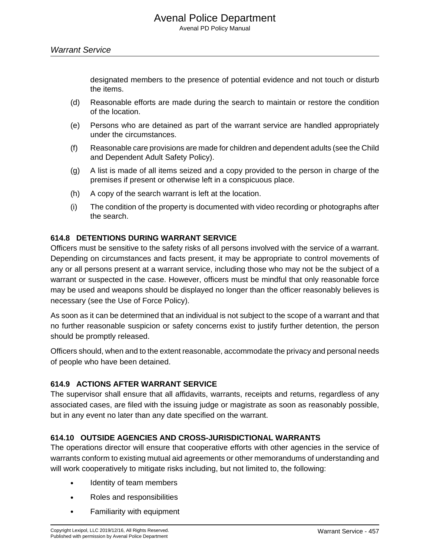designated members to the presence of potential evidence and not touch or disturb the items.

- (d) Reasonable efforts are made during the search to maintain or restore the condition of the location.
- (e) Persons who are detained as part of the warrant service are handled appropriately under the circumstances.
- (f) Reasonable care provisions are made for children and dependent adults (see the Child and Dependent Adult Safety Policy).
- (g) A list is made of all items seized and a copy provided to the person in charge of the premises if present or otherwise left in a conspicuous place.
- (h) A copy of the search warrant is left at the location.
- (i) The condition of the property is documented with video recording or photographs after the search.

#### **614.8 DETENTIONS DURING WARRANT SERVICE**

Officers must be sensitive to the safety risks of all persons involved with the service of a warrant. Depending on circumstances and facts present, it may be appropriate to control movements of any or all persons present at a warrant service, including those who may not be the subject of a warrant or suspected in the case. However, officers must be mindful that only reasonable force may be used and weapons should be displayed no longer than the officer reasonably believes is necessary (see the Use of Force Policy).

As soon as it can be determined that an individual is not subject to the scope of a warrant and that no further reasonable suspicion or safety concerns exist to justify further detention, the person should be promptly released.

Officers should, when and to the extent reasonable, accommodate the privacy and personal needs of people who have been detained.

#### **614.9 ACTIONS AFTER WARRANT SERVICE**

The supervisor shall ensure that all affidavits, warrants, receipts and returns, regardless of any associated cases, are filed with the issuing judge or magistrate as soon as reasonably possible, but in any event no later than any date specified on the warrant.

#### **614.10 OUTSIDE AGENCIES AND CROSS-JURISDICTIONAL WARRANTS**

The operations director will ensure that cooperative efforts with other agencies in the service of warrants conform to existing mutual aid agreements or other memorandums of understanding and will work cooperatively to mitigate risks including, but not limited to, the following:

- Identity of team members
- Roles and responsibilities
- Familiarity with equipment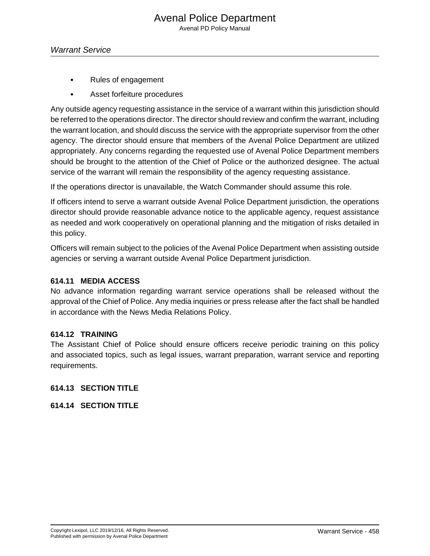- Rules of engagement
- Asset forfeiture procedures

Any outside agency requesting assistance in the service of a warrant within this jurisdiction should be referred to the operations director. The director should review and confirm the warrant, including the warrant location, and should discuss the service with the appropriate supervisor from the other agency. The director should ensure that members of the Avenal Police Department are utilized appropriately. Any concerns regarding the requested use of Avenal Police Department members should be brought to the attention of the Chief of Police or the authorized designee. The actual service of the warrant will remain the responsibility of the agency requesting assistance.

If the operations director is unavailable, the Watch Commander should assume this role.

If officers intend to serve a warrant outside Avenal Police Department jurisdiction, the operations director should provide reasonable advance notice to the applicable agency, request assistance as needed and work cooperatively on operational planning and the mitigation of risks detailed in this policy.

Officers will remain subject to the policies of the Avenal Police Department when assisting outside agencies or serving a warrant outside Avenal Police Department jurisdiction.

#### **614.11 MEDIA ACCESS**

No advance information regarding warrant service operations shall be released without the approval of the Chief of Police. Any media inquiries or press release after the fact shall be handled in accordance with the News Media Relations Policy.

#### **614.12 TRAINING**

The Assistant Chief of Police should ensure officers receive periodic training on this policy and associated topics, such as legal issues, warrant preparation, warrant service and reporting requirements.

#### **614.13 SECTION TITLE**

#### **614.14 SECTION TITLE**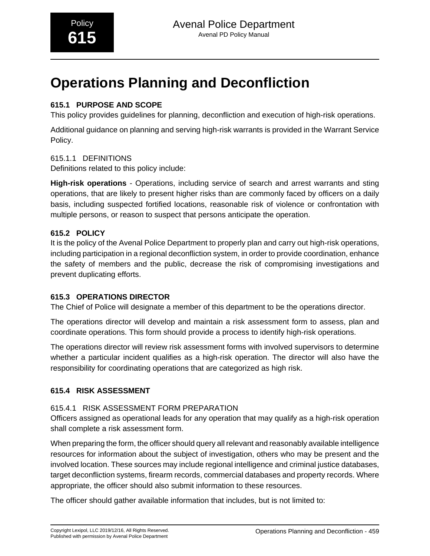# **Operations Planning and Deconfliction**

## **615.1 PURPOSE AND SCOPE**

This policy provides guidelines for planning, deconfliction and execution of high-risk operations.

Additional guidance on planning and serving high-risk warrants is provided in the Warrant Service Policy.

## 615.1.1 DEFINITIONS

Definitions related to this policy include:

**High-risk operations** - Operations, including service of search and arrest warrants and sting operations, that are likely to present higher risks than are commonly faced by officers on a daily basis, including suspected fortified locations, reasonable risk of violence or confrontation with multiple persons, or reason to suspect that persons anticipate the operation.

## **615.2 POLICY**

It is the policy of the Avenal Police Department to properly plan and carry out high-risk operations, including participation in a regional deconfliction system, in order to provide coordination, enhance the safety of members and the public, decrease the risk of compromising investigations and prevent duplicating efforts.

## **615.3 OPERATIONS DIRECTOR**

The Chief of Police will designate a member of this department to be the operations director.

The operations director will develop and maintain a risk assessment form to assess, plan and coordinate operations. This form should provide a process to identify high-risk operations.

The operations director will review risk assessment forms with involved supervisors to determine whether a particular incident qualifies as a high-risk operation. The director will also have the responsibility for coordinating operations that are categorized as high risk.

## **615.4 RISK ASSESSMENT**

## 615.4.1 RISK ASSESSMENT FORM PREPARATION

Officers assigned as operational leads for any operation that may qualify as a high-risk operation shall complete a risk assessment form.

When preparing the form, the officer should query all relevant and reasonably available intelligence resources for information about the subject of investigation, others who may be present and the involved location. These sources may include regional intelligence and criminal justice databases, target deconfliction systems, firearm records, commercial databases and property records. Where appropriate, the officer should also submit information to these resources.

The officer should gather available information that includes, but is not limited to: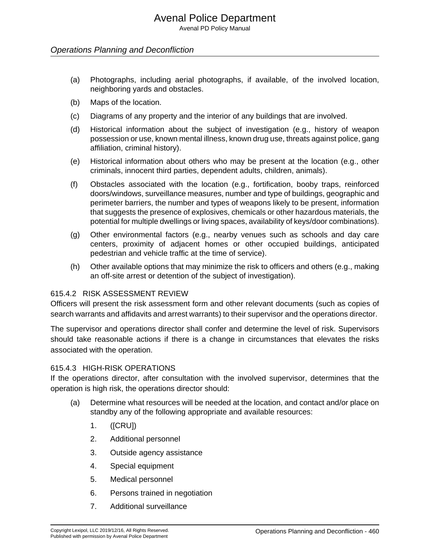Avenal PD Policy Manual

#### Operations Planning and Deconfliction

- (a) Photographs, including aerial photographs, if available, of the involved location, neighboring yards and obstacles.
- (b) Maps of the location.
- (c) Diagrams of any property and the interior of any buildings that are involved.
- (d) Historical information about the subject of investigation (e.g., history of weapon possession or use, known mental illness, known drug use, threats against police, gang affiliation, criminal history).
- (e) Historical information about others who may be present at the location (e.g., other criminals, innocent third parties, dependent adults, children, animals).
- (f) Obstacles associated with the location (e.g., fortification, booby traps, reinforced doors/windows, surveillance measures, number and type of buildings, geographic and perimeter barriers, the number and types of weapons likely to be present, information that suggests the presence of explosives, chemicals or other hazardous materials, the potential for multiple dwellings or living spaces, availability of keys/door combinations).
- (g) Other environmental factors (e.g., nearby venues such as schools and day care centers, proximity of adjacent homes or other occupied buildings, anticipated pedestrian and vehicle traffic at the time of service).
- (h) Other available options that may minimize the risk to officers and others (e.g., making an off-site arrest or detention of the subject of investigation).

#### 615.4.2 RISK ASSESSMENT REVIEW

Officers will present the risk assessment form and other relevant documents (such as copies of search warrants and affidavits and arrest warrants) to their supervisor and the operations director.

The supervisor and operations director shall confer and determine the level of risk. Supervisors should take reasonable actions if there is a change in circumstances that elevates the risks associated with the operation.

#### 615.4.3 HIGH-RISK OPERATIONS

If the operations director, after consultation with the involved supervisor, determines that the operation is high risk, the operations director should:

- (a) Determine what resources will be needed at the location, and contact and/or place on standby any of the following appropriate and available resources:
	- 1. ([CRU])
	- 2. Additional personnel
	- 3. Outside agency assistance
	- 4. Special equipment
	- 5. Medical personnel
	- 6. Persons trained in negotiation
	- 7. Additional surveillance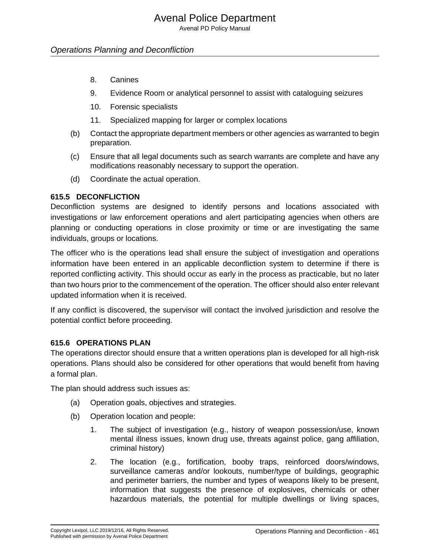Avenal PD Policy Manual

#### Operations Planning and Deconfliction

- 8. Canines
- 9. Evidence Room or analytical personnel to assist with cataloguing seizures
- 10. Forensic specialists
- 11. Specialized mapping for larger or complex locations
- (b) Contact the appropriate department members or other agencies as warranted to begin preparation.
- (c) Ensure that all legal documents such as search warrants are complete and have any modifications reasonably necessary to support the operation.
- (d) Coordinate the actual operation.

#### **615.5 DECONFLICTION**

Deconfliction systems are designed to identify persons and locations associated with investigations or law enforcement operations and alert participating agencies when others are planning or conducting operations in close proximity or time or are investigating the same individuals, groups or locations.

The officer who is the operations lead shall ensure the subject of investigation and operations information have been entered in an applicable deconfliction system to determine if there is reported conflicting activity. This should occur as early in the process as practicable, but no later than two hours prior to the commencement of the operation. The officer should also enter relevant updated information when it is received.

If any conflict is discovered, the supervisor will contact the involved jurisdiction and resolve the potential conflict before proceeding.

#### **615.6 OPERATIONS PLAN**

The operations director should ensure that a written operations plan is developed for all high-risk operations. Plans should also be considered for other operations that would benefit from having a formal plan.

The plan should address such issues as:

- (a) Operation goals, objectives and strategies.
- (b) Operation location and people:
	- 1. The subject of investigation (e.g., history of weapon possession/use, known mental illness issues, known drug use, threats against police, gang affiliation, criminal history)
	- 2. The location (e.g., fortification, booby traps, reinforced doors/windows, surveillance cameras and/or lookouts, number/type of buildings, geographic and perimeter barriers, the number and types of weapons likely to be present, information that suggests the presence of explosives, chemicals or other hazardous materials, the potential for multiple dwellings or living spaces,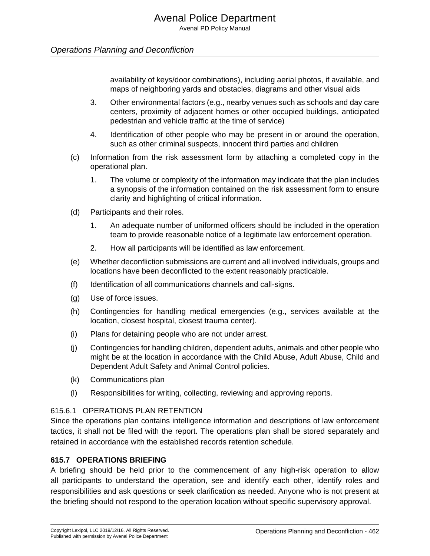#### Operations Planning and Deconfliction

availability of keys/door combinations), including aerial photos, if available, and maps of neighboring yards and obstacles, diagrams and other visual aids

- 3. Other environmental factors (e.g., nearby venues such as schools and day care centers, proximity of adjacent homes or other occupied buildings, anticipated pedestrian and vehicle traffic at the time of service)
- 4. Identification of other people who may be present in or around the operation, such as other criminal suspects, innocent third parties and children
- (c) Information from the risk assessment form by attaching a completed copy in the operational plan.
	- 1. The volume or complexity of the information may indicate that the plan includes a synopsis of the information contained on the risk assessment form to ensure clarity and highlighting of critical information.
- (d) Participants and their roles.
	- 1. An adequate number of uniformed officers should be included in the operation team to provide reasonable notice of a legitimate law enforcement operation.
	- 2. How all participants will be identified as law enforcement.
- (e) Whether deconfliction submissions are current and all involved individuals, groups and locations have been deconflicted to the extent reasonably practicable.
- (f) Identification of all communications channels and call-signs.
- (g) Use of force issues.
- (h) Contingencies for handling medical emergencies (e.g., services available at the location, closest hospital, closest trauma center).
- (i) Plans for detaining people who are not under arrest.
- (j) Contingencies for handling children, dependent adults, animals and other people who might be at the location in accordance with the Child Abuse, Adult Abuse, Child and Dependent Adult Safety and Animal Control policies.
- (k) Communications plan
- (l) Responsibilities for writing, collecting, reviewing and approving reports.

#### 615.6.1 OPERATIONS PLAN RETENTION

Since the operations plan contains intelligence information and descriptions of law enforcement tactics, it shall not be filed with the report. The operations plan shall be stored separately and retained in accordance with the established records retention schedule.

#### **615.7 OPERATIONS BRIEFING**

A briefing should be held prior to the commencement of any high-risk operation to allow all participants to understand the operation, see and identify each other, identify roles and responsibilities and ask questions or seek clarification as needed. Anyone who is not present at the briefing should not respond to the operation location without specific supervisory approval.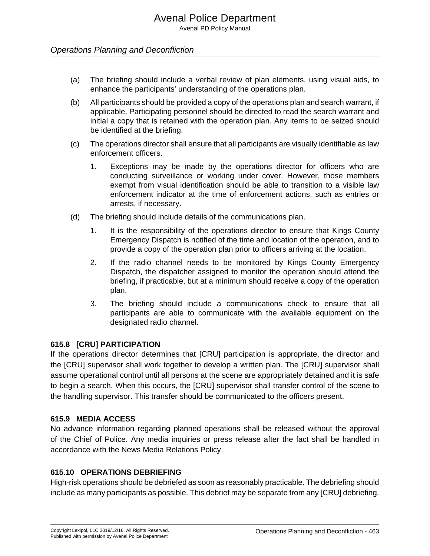### Operations Planning and Deconfliction

- (a) The briefing should include a verbal review of plan elements, using visual aids, to enhance the participants' understanding of the operations plan.
- (b) All participants should be provided a copy of the operations plan and search warrant, if applicable. Participating personnel should be directed to read the search warrant and initial a copy that is retained with the operation plan. Any items to be seized should be identified at the briefing.
- (c) The operations director shall ensure that all participants are visually identifiable as law enforcement officers.
	- 1. Exceptions may be made by the operations director for officers who are conducting surveillance or working under cover. However, those members exempt from visual identification should be able to transition to a visible law enforcement indicator at the time of enforcement actions, such as entries or arrests, if necessary.
- (d) The briefing should include details of the communications plan.
	- 1. It is the responsibility of the operations director to ensure that Kings County Emergency Dispatch is notified of the time and location of the operation, and to provide a copy of the operation plan prior to officers arriving at the location.
	- 2. If the radio channel needs to be monitored by Kings County Emergency Dispatch, the dispatcher assigned to monitor the operation should attend the briefing, if practicable, but at a minimum should receive a copy of the operation plan.
	- 3. The briefing should include a communications check to ensure that all participants are able to communicate with the available equipment on the designated radio channel.

#### **615.8 [CRU] PARTICIPATION**

If the operations director determines that [CRU] participation is appropriate, the director and the [CRU] supervisor shall work together to develop a written plan. The [CRU] supervisor shall assume operational control until all persons at the scene are appropriately detained and it is safe to begin a search. When this occurs, the [CRU] supervisor shall transfer control of the scene to the handling supervisor. This transfer should be communicated to the officers present.

#### **615.9 MEDIA ACCESS**

No advance information regarding planned operations shall be released without the approval of the Chief of Police. Any media inquiries or press release after the fact shall be handled in accordance with the News Media Relations Policy.

#### **615.10 OPERATIONS DEBRIEFING**

High-risk operations should be debriefed as soon as reasonably practicable. The debriefing should include as many participants as possible. This debrief may be separate from any [CRU] debriefing.